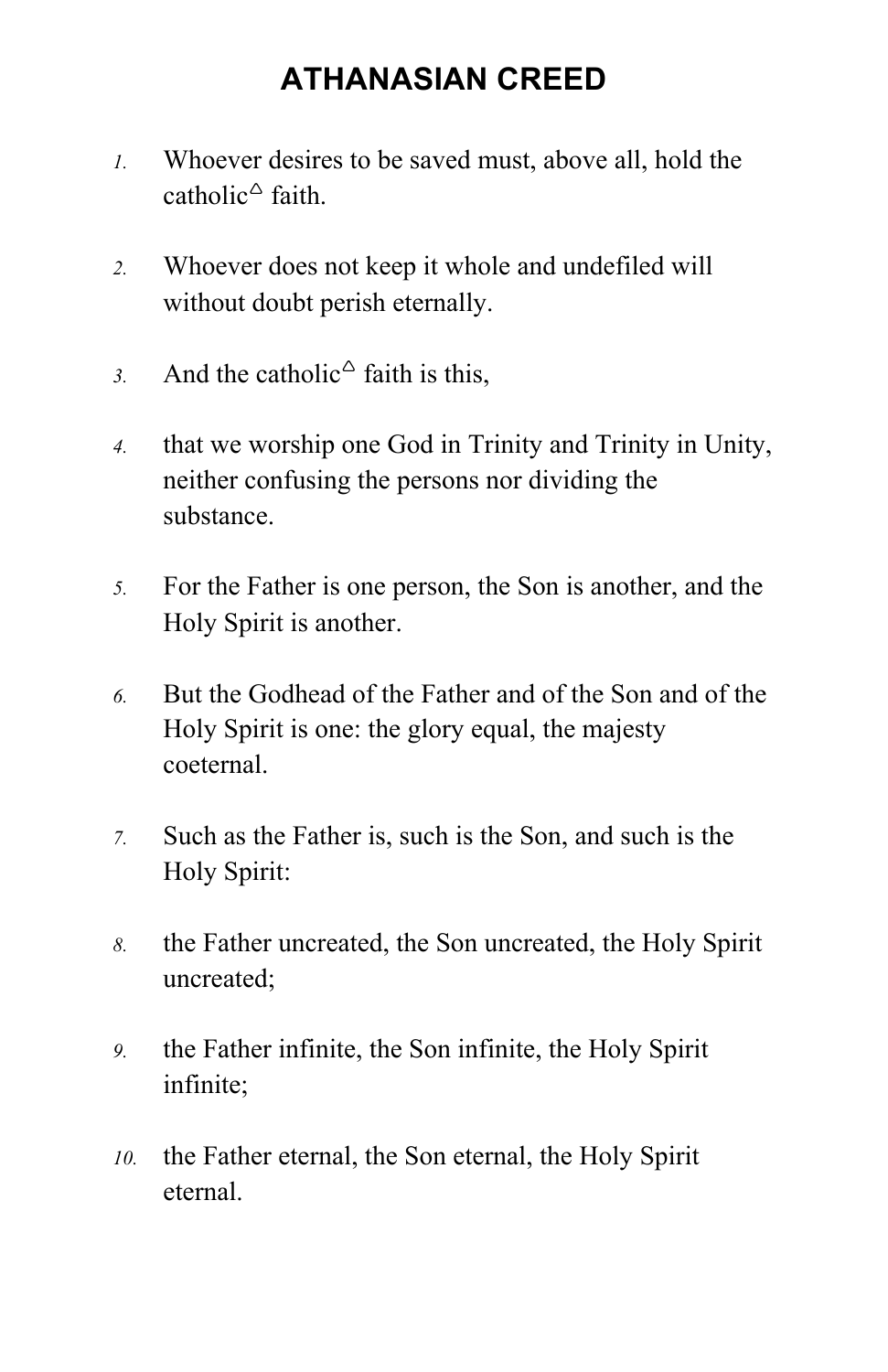## **ATHANASIAN CREED**

- *1.* Whoever desires to be saved must, above all, hold the catholic<sup> $\triangle$ </sup> faith.
- *2.* Whoever does not keep it whole and undefiled will without doubt perish eternally.
- 3. And the catholic<sup> $\triangle$ </sup> faith is this,
- *4.* that we worship one God in Trinity and Trinity in Unity, neither confusing the persons nor dividing the substance.
- *5.* For the Father is one person, the Son is another, and the Holy Spirit is another.
- *6.* But the Godhead of the Father and of the Son and of the Holy Spirit is one: the glory equal, the majesty coeternal.
- *7.* Such as the Father is, such is the Son, and such is the Holy Spirit:
- *8.* the Father uncreated, the Son uncreated, the Holy Spirit uncreated;
- *9.* the Father infinite, the Son infinite, the Holy Spirit infinite;
- *10.* the Father eternal, the Son eternal, the Holy Spirit eternal.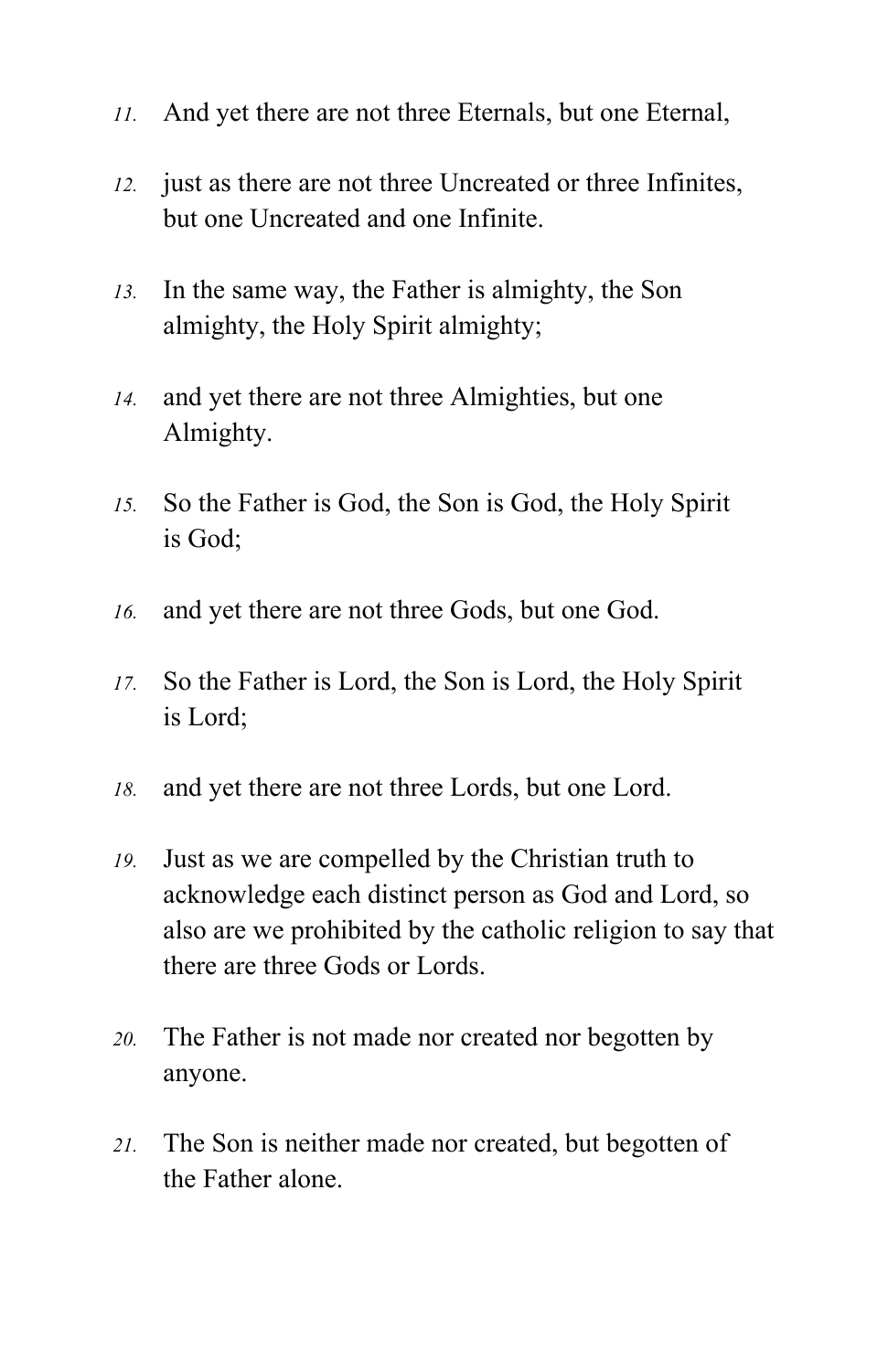- *11.* And yet there are not three Eternals, but one Eternal,
- *12.* just as there are not three Uncreated or three Infinites, but one Uncreated and one Infinite.
- *13.* In the same way, the Father is almighty, the Son almighty, the Holy Spirit almighty;
- *14.* and yet there are not three Almighties, but one Almighty.
- *15.* So the Father is God, the Son is God, the Holy Spirit is God;
- *16.* and yet there are not three Gods, but one God.
- *17.* So the Father is Lord, the Son is Lord, the Holy Spirit is Lord;
- *18.* and yet there are not three Lords, but one Lord.
- *19.* Just as we are compelled by the Christian truth to acknowledge each distinct person as God and Lord, so also are we prohibited by the catholic religion to say that there are three Gods or Lords.
- *20.* The Father is not made nor created nor begotten by anyone.
- *21.* The Son is neither made nor created, but begotten of the Father alone.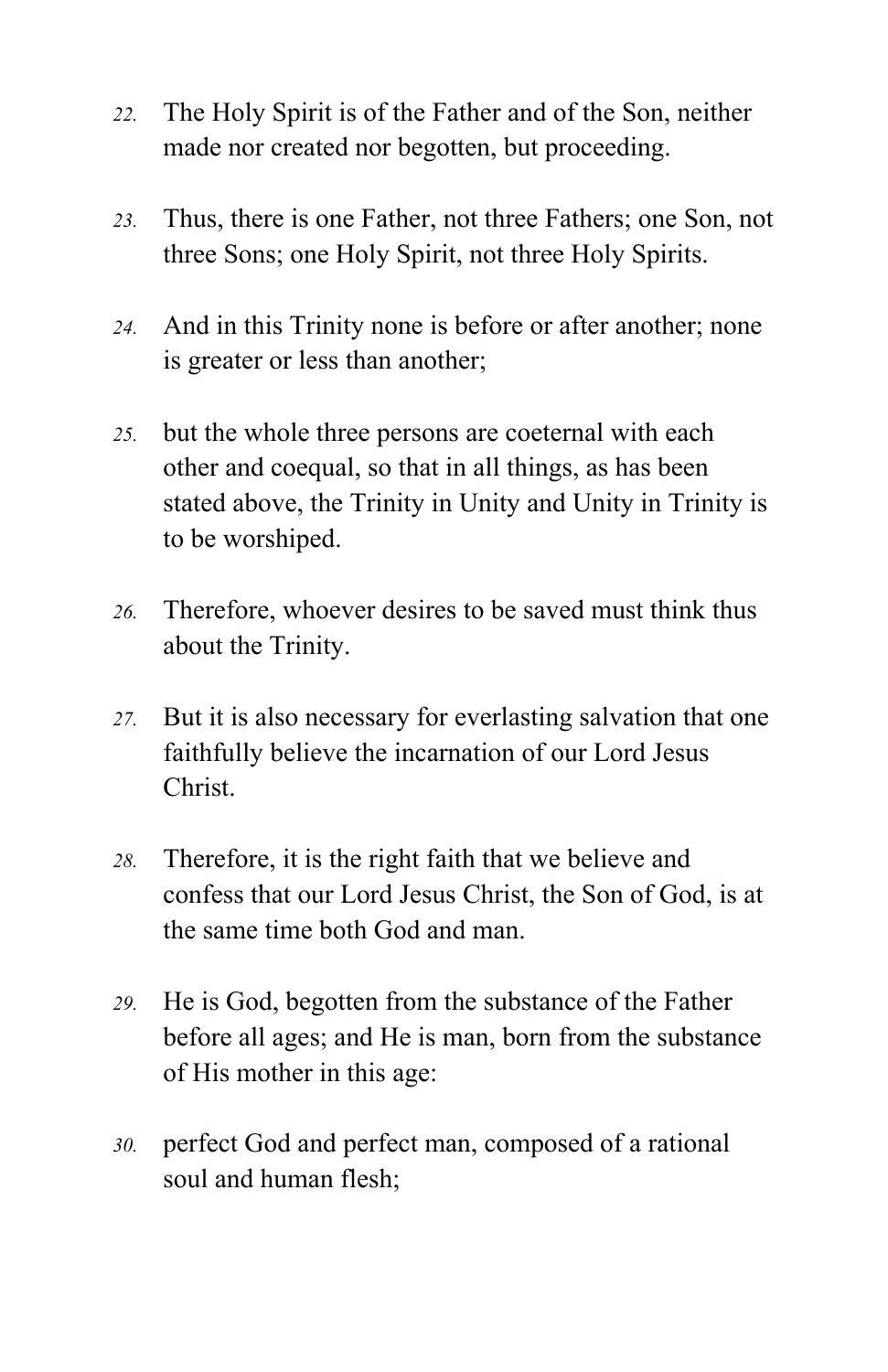- *22.* The Holy Spirit is of the Father and of the Son, neither made nor created nor begotten, but proceeding.
- *23.* Thus, there is one Father, not three Fathers; one Son, not three Sons; one Holy Spirit, not three Holy Spirits.
- *24.* And in this Trinity none is before or after another; none is greater or less than another;
- *25.* but the whole three persons are coeternal with each other and coequal, so that in all things, as has been stated above, the Trinity in Unity and Unity in Trinity is to be worshiped.
- *26.* Therefore, whoever desires to be saved must think thus about the Trinity.
- *27.* But it is also necessary for everlasting salvation that one faithfully believe the incarnation of our Lord Jesus Christ.
- *28.* Therefore, it is the right faith that we believe and confess that our Lord Jesus Christ, the Son of God, is at the same time both God and man.
- *29.* He is God, begotten from the substance of the Father before all ages; and He is man, born from the substance of His mother in this age:
- *30.* perfect God and perfect man, composed of a rational soul and human flesh;